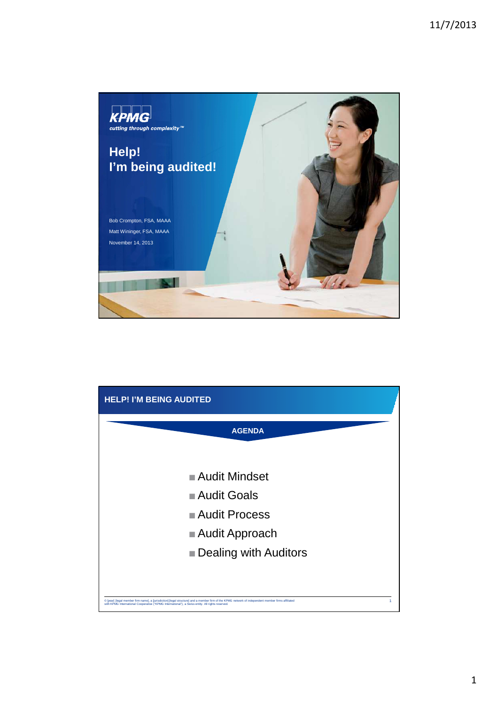

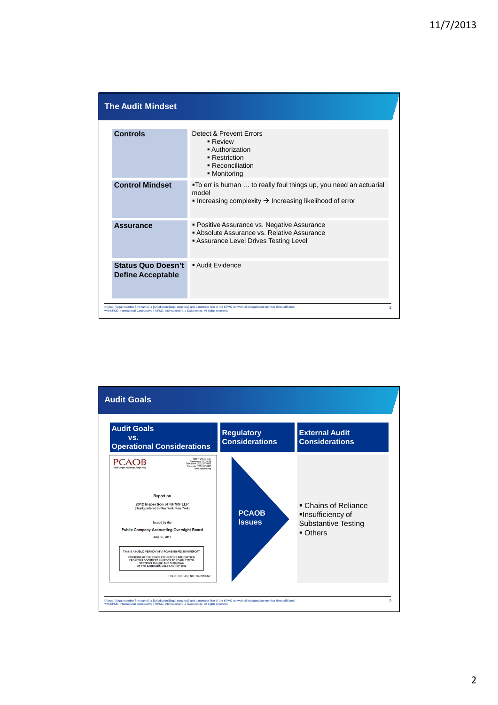| <b>The Audit Mindset</b>                                                                         |                                                                                                                                                    |  |
|--------------------------------------------------------------------------------------------------|----------------------------------------------------------------------------------------------------------------------------------------------------|--|
| <b>Controls</b>                                                                                  | Detect & Prevent Errors<br>$\blacksquare$ Review<br>■ Authorization<br>• Restriction<br>• Reconciliation<br>• Monitoring                           |  |
| <b>Control Mindset</b>                                                                           | "To err is human  to really foul things up, you need an actuarial<br>model<br>Increasing complexity $\rightarrow$ Increasing likelihood of error   |  |
| <b>Assurance</b>                                                                                 | • Positive Assurance vs. Negative Assurance<br>Absolute Assurance vs. Relative Assurance<br>Assurance Level Drives Testing Level                   |  |
| <b>Status Quo Doesn't</b><br><b>Define Acceptable</b>                                            | Audit Evidence                                                                                                                                     |  |
| with KPMG International Cooperative ("KPMG International"), a Swiss entity. All rights reserved. | C [year] [legal member firm name], a [jurisdiction] [legal structure] and a member firm of the KPMG network of independent member firms affiliated |  |

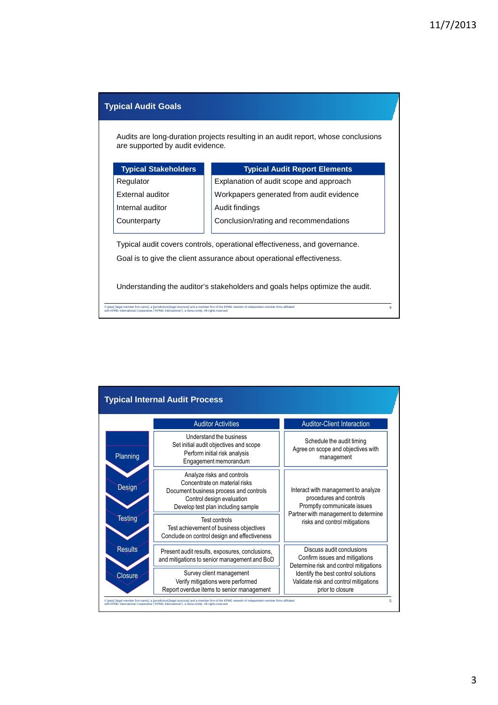4

## **Typical Audit Goals**

Audits are long-duration projects resulting in an audit report, whose conclusions are supported by audit evidence.

| <b>Typical Stakeholders</b> | <b>Typical Audit Report Elements</b>     |
|-----------------------------|------------------------------------------|
| Regulator                   | Explanation of audit scope and approach  |
| <b>External auditor</b>     | Workpapers generated from audit evidence |
| Internal auditor            | Audit findings                           |
| Counterparty                | Conclusion/rating and recommendations    |
|                             |                                          |

Typical audit covers controls, operational effectiveness, and governance. Goal is to give the client assurance about operational effectiveness.

Understanding the auditor's stakeholders and goals helps optimize the audit.

© [year] [legal member firm name], a [jurisdiction] [legal structure] and a member firm of the KPMG network of independent member firms affiliated<br>with KPMG International Cooperative ("KPMG International"), a Swiss entity.

|                | <b>Auditor Activities</b>                                                                                                                                                | <b>Auditor-Client Interaction</b>                                                                     |  |
|----------------|--------------------------------------------------------------------------------------------------------------------------------------------------------------------------|-------------------------------------------------------------------------------------------------------|--|
| Planning       | Understand the business<br>Set initial audit objectives and scope<br>Perform initial risk analysis<br>Engagement memorandum                                              | Schedule the audit timing<br>Agree on scope and objectives with<br>management                         |  |
| Design         | Analyze risks and controls<br>Concentrate on material risks<br>Document business process and controls<br>Control design evaluation<br>Develop test plan including sample | Interact with management to analyze<br>procedures and controls<br>Promptly communicate issues         |  |
| <b>Testing</b> | Test controls<br>Test achievement of business objectives<br>Conclude on control design and effectiveness                                                                 | Partner with management to determine<br>risks and control mitigations                                 |  |
| <b>Results</b> | Present audit results, exposures, conclusions,<br>and mitigations to senior management and BoD                                                                           | Discuss audit conclusions<br>Confirm issues and mitigations<br>Determine risk and control mitigations |  |
| Closure        | Survey client management<br>Verify mitigations were performed<br>Report overdue items to senior management                                                               | Identify the best control solutions<br>Validate risk and control mitigations<br>prior to closure      |  |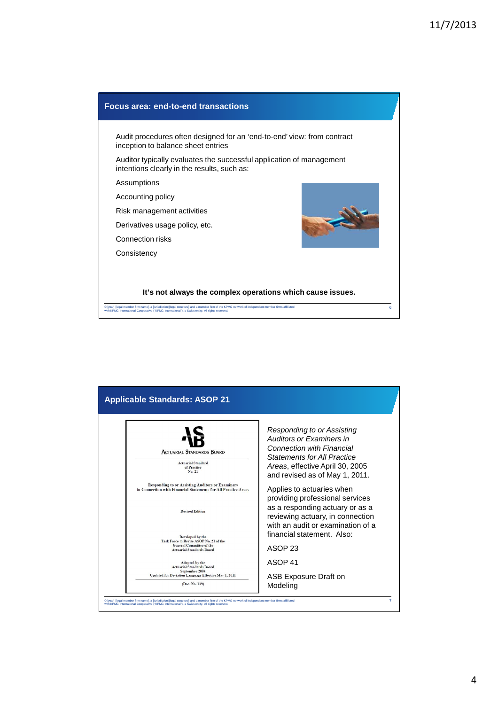

|                                                                                                                           | Responding to or Assisting         |
|---------------------------------------------------------------------------------------------------------------------------|------------------------------------|
|                                                                                                                           | Auditors or Examiners in           |
| <b>ACTUARIAL STANDARDS BOARD</b>                                                                                          | <b>Connection with Financial</b>   |
| <b>Actuarial Standard</b>                                                                                                 | <b>Statements for All Practice</b> |
| of Practice<br>No. 21                                                                                                     | Areas, effective April 30, 2005    |
|                                                                                                                           | and revised as of May 1, 2011.     |
| <b>Responding to or Assisting Auditors or Examiners</b><br>in Connection with Financial Statements for All Practice Areas | Applies to actuaries when          |
|                                                                                                                           | providing professional services    |
| <b>Revised Edition</b>                                                                                                    | as a responding actuary or as a    |
|                                                                                                                           | reviewing actuary, in connection   |
|                                                                                                                           | with an audit or examination of a  |
| Developed by the<br>Task Force to Revise ASOP No. 21 of the                                                               | financial statement. Also:         |
| <b>General Committee of the</b><br><b>Actuarial Standards Board</b>                                                       | ASOP <sub>23</sub>                 |
|                                                                                                                           |                                    |
| <b>Adopted by the</b><br><b>Actuarial Standards Board</b>                                                                 | ASOP 41                            |
| September 2004<br>Updated for Deviation Language Effective May 1, 2011                                                    | ASB Exposure Draft on              |
| (Doc. No. 139)                                                                                                            | Modeling                           |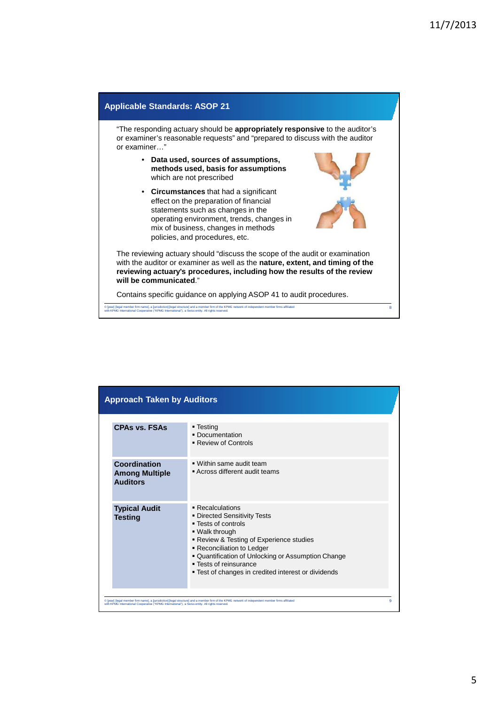

| <b>CPAs vs. FSAs</b>                                     | ■ Testing<br>• Documentation<br>■ Review of Controls                                                                                                                                                                                                                                                                    |  |
|----------------------------------------------------------|-------------------------------------------------------------------------------------------------------------------------------------------------------------------------------------------------------------------------------------------------------------------------------------------------------------------------|--|
| Coordination<br><b>Among Multiple</b><br><b>Auditors</b> | ■ Within same audit team<br>Across different audit teams                                                                                                                                                                                                                                                                |  |
| <b>Typical Audit</b><br><b>Testing</b>                   | ■ Recalculations<br>• Directed Sensitivity Tests<br>■ Tests of controls<br>. Walk through<br>■ Review & Testing of Experience studies<br>• Reconciliation to Ledger<br>" Quantification of Unlocking or Assumption Change<br>$\blacksquare$ Tests of reinsurance<br>■ Test of changes in credited interest or dividends |  |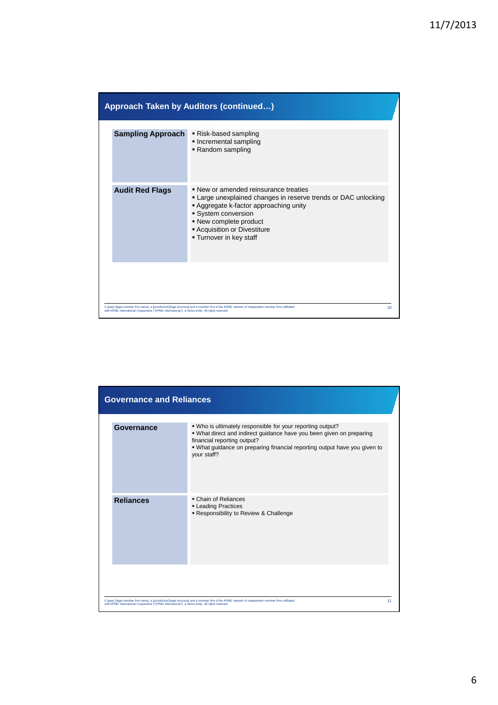|                                                                                                  | <b>Approach Taken by Auditors (continued)</b>                                                                                                                                                                                                                    |    |
|--------------------------------------------------------------------------------------------------|------------------------------------------------------------------------------------------------------------------------------------------------------------------------------------------------------------------------------------------------------------------|----|
| <b>Sampling Approach</b>                                                                         | Risk-based sampling<br>• Incremental sampling<br>Random sampling                                                                                                                                                                                                 |    |
| <b>Audit Red Flags</b>                                                                           | • New or amended reinsurance treaties<br>• Large unexplained changes in reserve trends or DAC unlocking<br>Aggregate k-factor approaching unity<br>System conversion<br>• New complete product<br><b>- Acquisition or Divestiture</b><br>■ Turnover in key staff |    |
| with KPMG International Cooperative ("KPMG International"), a Swiss entity. All rights reserved. | C [year] [legal member firm name], a [jurisdiction] [legal structure] and a member firm of the KPMG network of independent member firms affiliated                                                                                                               | 10 |

| <b>Governance and Reliances</b>                                                                  |                                                                                                                                                                                                                                                               |
|--------------------------------------------------------------------------------------------------|---------------------------------------------------------------------------------------------------------------------------------------------------------------------------------------------------------------------------------------------------------------|
| Governance                                                                                       | . Who is ultimately responsible for your reporting output?<br>. What direct and indirect guidance have you been given on preparing<br>financial reporting output?<br>. What guidance on preparing financial reporting output have you given to<br>your staff? |
| <b>Reliances</b>                                                                                 | • Chain of Reliances<br><b>Leading Practices</b><br>- Responsibility to Review & Challenge                                                                                                                                                                    |
| with KPMG International Cooperative ("KPMG International"), a Swiss entity. All rights reserved. | C [year] [legal member firm name], a [jurisdiction] [legal structure] and a member firm of the KPMG network of independent member firms affiliated                                                                                                            |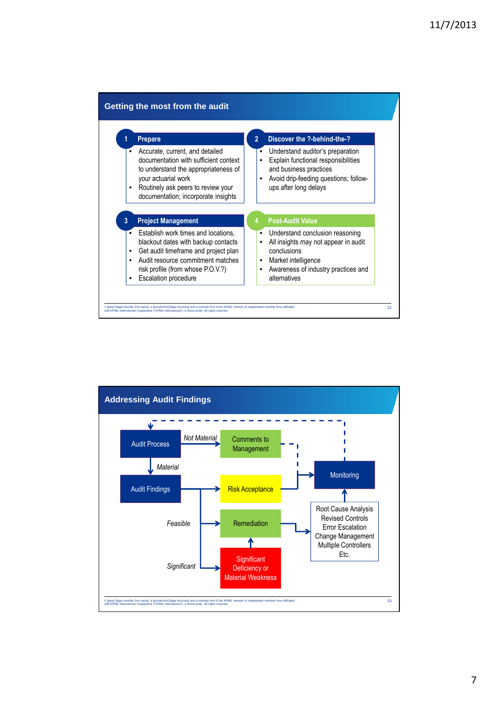